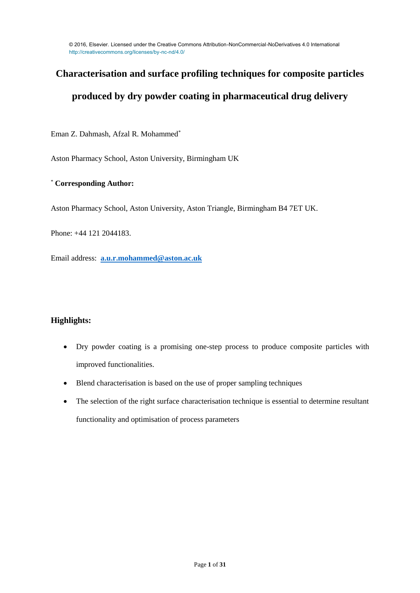# **Characterisation and surface profiling techniques for composite particles**

# **produced by dry powder coating in pharmaceutical drug delivery**

Eman Z. Dahmash, Afzal R. Mohammed\*

Aston Pharmacy School, Aston University, Birmingham UK

# \* **Corresponding Author:**

Aston Pharmacy School, Aston University, Aston Triangle, Birmingham B4 7ET UK.

Phone: +44 121 2044183.

Email address: **[a.u.r.mohammed@aston.ac.uk](mailto:a.u.r.mohammed@aston.ac.uk)** 

# **Highlights:**

- Dry powder coating is a promising one-step process to produce composite particles with improved functionalities.
- Blend characterisation is based on the use of proper sampling techniques
- The selection of the right surface characterisation technique is essential to determine resultant functionality and optimisation of process parameters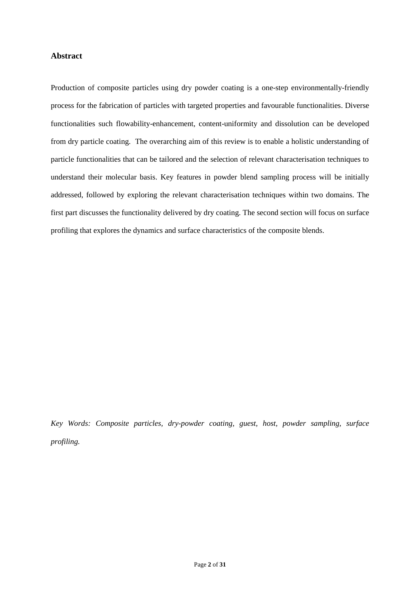# **Abstract**

Production of composite particles using dry powder coating is a one-step environmentally-friendly process for the fabrication of particles with targeted properties and favourable functionalities. Diverse functionalities such flowability-enhancement, content-uniformity and dissolution can be developed from dry particle coating. The overarching aim of this review is to enable a holistic understanding of particle functionalities that can be tailored and the selection of relevant characterisation techniques to understand their molecular basis. Key features in powder blend sampling process will be initially addressed, followed by exploring the relevant characterisation techniques within two domains. The first part discusses the functionality delivered by dry coating. The second section will focus on surface profiling that explores the dynamics and surface characteristics of the composite blends.

*Key Words: Composite particles, dry-powder coating, guest, host, powder sampling, surface profiling.*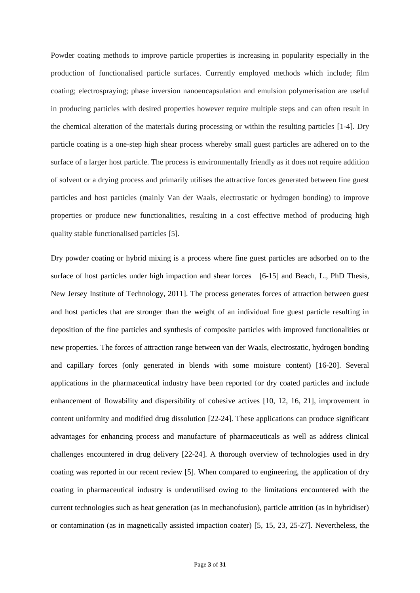Powder coating methods to improve particle properties is increasing in popularity especially in the production of functionalised particle surfaces. Currently employed methods which include; film coating; electrospraying; phase inversion nanoencapsulation and emulsion polymerisation are useful in producing particles with desired properties however require multiple steps and can often result in the chemical alteration of the materials during processing or within the resulting particles [1-4]. Dry particle coating is a one-step high shear process whereby small guest particles are adhered on to the surface of a larger host particle. The process is environmentally friendly as it does not require addition of solvent or a drying process and primarily utilises the attractive forces generated between fine guest particles and host particles (mainly Van der Waals, electrostatic or hydrogen bonding) to improve properties or produce new functionalities, resulting in a cost effective method of producing high quality stable functionalised particles [5].

Dry powder coating or hybrid mixing is a process where fine guest particles are adsorbed on to the surface of host particles under high impaction and shear forces [6-15] and Beach, L., PhD Thesis, New Jersey Institute of Technology, 2011]. The process generates forces of attraction between guest and host particles that are stronger than the weight of an individual fine guest particle resulting in deposition of the fine particles and synthesis of composite particles with improved functionalities or new properties. The forces of attraction range between van der Waals, electrostatic, hydrogen bonding and capillary forces (only generated in blends with some moisture content) [16-20]. Several applications in the pharmaceutical industry have been reported for dry coated particles and include enhancement of flowability and dispersibility of cohesive actives [10, 12, 16, 21], improvement in content uniformity and modified drug dissolution [22-24]. These applications can produce significant advantages for enhancing process and manufacture of pharmaceuticals as well as address clinical challenges encountered in drug delivery [22-24]. A thorough overview of technologies used in dry coating was reported in our recent review [5]. When compared to engineering, the application of dry coating in pharmaceutical industry is underutilised owing to the limitations encountered with the current technologies such as heat generation (as in mechanofusion), particle attrition (as in hybridiser) or contamination (as in magnetically assisted impaction coater) [5, 15, 23, 25-27]. Nevertheless, the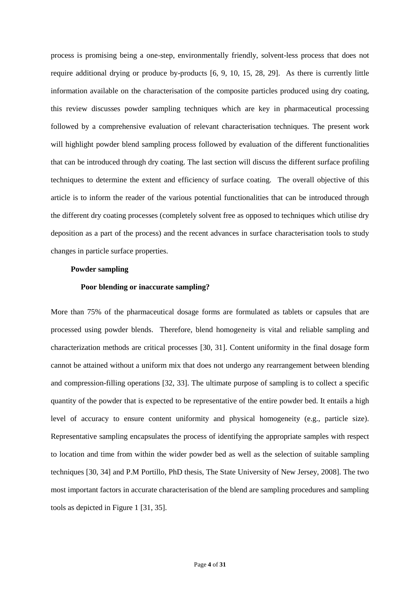process is promising being a one-step, environmentally friendly, solvent-less process that does not require additional drying or produce by-products [6, 9, 10, 15, 28, 29]. As there is currently little information available on the characterisation of the composite particles produced using dry coating, this review discusses powder sampling techniques which are key in pharmaceutical processing followed by a comprehensive evaluation of relevant characterisation techniques. The present work will highlight powder blend sampling process followed by evaluation of the different functionalities that can be introduced through dry coating. The last section will discuss the different surface profiling techniques to determine the extent and efficiency of surface coating. The overall objective of this article is to inform the reader of the various potential functionalities that can be introduced through the different dry coating processes (completely solvent free as opposed to techniques which utilise dry deposition as a part of the process) and the recent advances in surface characterisation tools to study changes in particle surface properties.

#### **Powder sampling**

### **Poor blending or inaccurate sampling?**

More than 75% of the pharmaceutical dosage forms are formulated as tablets or capsules that are processed using powder blends. Therefore, blend homogeneity is vital and reliable sampling and characterization methods are critical processes [30, 31]. Content uniformity in the final dosage form cannot be attained without a uniform mix that does not undergo any rearrangement between blending and compression-filling operations [32, 33]. The ultimate purpose of sampling is to collect a specific quantity of the powder that is expected to be representative of the entire powder bed. It entails a high level of accuracy to ensure content uniformity and physical homogeneity (e.g., particle size). Representative sampling encapsulates the process of identifying the appropriate samples with respect to location and time from within the wider powder bed as well as the selection of suitable sampling techniques [30, 34] and P.M Portillo, PhD thesis, The State University of New Jersey, 2008]. The two most important factors in accurate characterisation of the blend are sampling procedures and sampling tools as depicted in Figure 1 [31, 35].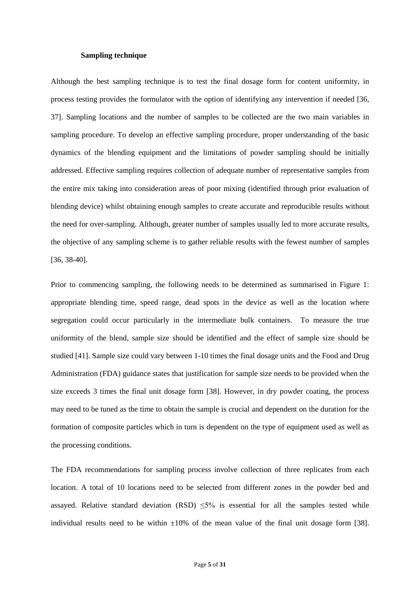#### **Sampling technique**

Although the best sampling technique is to test the final dosage form for content uniformity, in process testing provides the formulator with the option of identifying any intervention if needed [36, 37]. Sampling locations and the number of samples to be collected are the two main variables in sampling procedure. To develop an effective sampling procedure, proper understanding of the basic dynamics of the blending equipment and the limitations of powder sampling should be initially addressed. Effective sampling requires collection of adequate number of representative samples from the entire mix taking into consideration areas of poor mixing (identified through prior evaluation of blending device) whilst obtaining enough samples to create accurate and reproducible results without the need for over-sampling. Although, greater number of samples usually led to more accurate results, the objective of any sampling scheme is to gather reliable results with the fewest number of samples [36, 38-40].

Prior to commencing sampling, the following needs to be determined as summarised in Figure 1: appropriate blending time, speed range, dead spots in the device as well as the location where segregation could occur particularly in the intermediate bulk containers. To measure the true uniformity of the blend, sample size should be identified and the effect of sample size should be studied [41]. Sample size could vary between 1-10 times the final dosage units and the Food and Drug Administration (FDA) guidance states that justification for sample size needs to be provided when the size exceeds 3 times the final unit dosage form [38]. However, in dry powder coating, the process may need to be tuned as the time to obtain the sample is crucial and dependent on the duration for the formation of composite particles which in turn is dependent on the type of equipment used as well as the processing conditions.

The FDA recommendations for sampling process involve collection of three replicates from each location. A total of 10 locations need to be selected from different zones in the powder bed and assayed. Relative standard deviation (RSD)  $\leq 5\%$  is essential for all the samples tested while individual results need to be within  $\pm 10\%$  of the mean value of the final unit dosage form [38].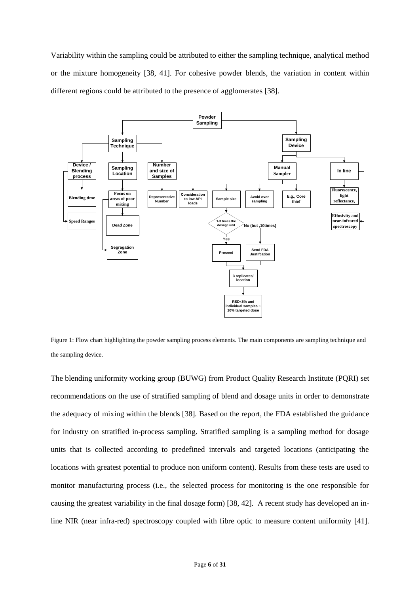Variability within the sampling could be attributed to either the sampling technique, analytical method or the mixture homogeneity [38, 41]. For cohesive powder blends, the variation in content within different regions could be attributed to the presence of agglomerates [38].



Figure 1: Flow chart highlighting the powder sampling process elements. The main components are sampling technique and the sampling device.

The blending uniformity working group (BUWG) from Product Quality Research Institute (PQRI) set recommendations on the use of stratified sampling of blend and dosage units in order to demonstrate the adequacy of mixing within the blends [38]*.* Based on the report, the FDA established the guidance for industry on stratified in-process sampling. Stratified sampling is a sampling method for dosage units that is collected according to predefined intervals and targeted locations (anticipating the locations with greatest potential to produce non uniform content). Results from these tests are used to monitor manufacturing process (i.e., the selected process for monitoring is the one responsible for causing the greatest variability in the final dosage form) [38, 42]. A recent study has developed an inline NIR (near infra-red) spectroscopy coupled with fibre optic to measure content uniformity [41].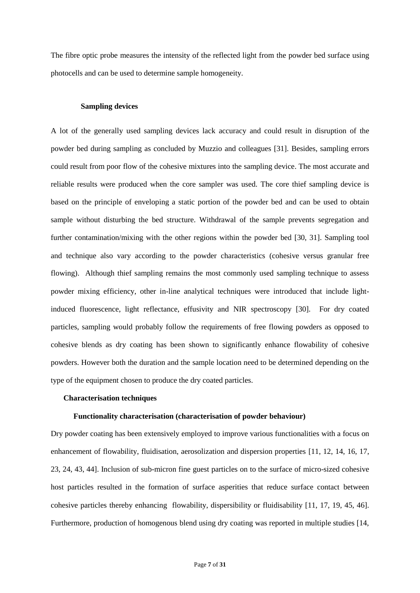The fibre optic probe measures the intensity of the reflected light from the powder bed surface using photocells and can be used to determine sample homogeneity.

#### **Sampling devices**

A lot of the generally used sampling devices lack accuracy and could result in disruption of the powder bed during sampling as concluded by Muzzio and colleagues [31]. Besides, sampling errors could result from poor flow of the cohesive mixtures into the sampling device. The most accurate and reliable results were produced when the core sampler was used. The core thief sampling device is based on the principle of enveloping a static portion of the powder bed and can be used to obtain sample without disturbing the bed structure. Withdrawal of the sample prevents segregation and further contamination/mixing with the other regions within the powder bed [30, 31]. Sampling tool and technique also vary according to the powder characteristics (cohesive versus granular free flowing). Although thief sampling remains the most commonly used sampling technique to assess powder mixing efficiency, other in-line analytical techniques were introduced that include lightinduced fluorescence, light reflectance, effusivity and NIR spectroscopy [30]. For dry coated particles, sampling would probably follow the requirements of free flowing powders as opposed to cohesive blends as dry coating has been shown to significantly enhance flowability of cohesive powders. However both the duration and the sample location need to be determined depending on the type of the equipment chosen to produce the dry coated particles.

# **Characterisation techniques**

## **Functionality characterisation (characterisation of powder behaviour)**

Dry powder coating has been extensively employed to improve various functionalities with a focus on enhancement of flowability, fluidisation, aerosolization and dispersion properties [11, 12, 14, 16, 17, 23, 24, 43, 44]. Inclusion of sub-micron fine guest particles on to the surface of micro-sized cohesive host particles resulted in the formation of surface asperities that reduce surface contact between cohesive particles thereby enhancing flowability, dispersibility or fluidisability [11, 17, 19, 45, 46]. Furthermore, production of homogenous blend using dry coating was reported in multiple studies [14,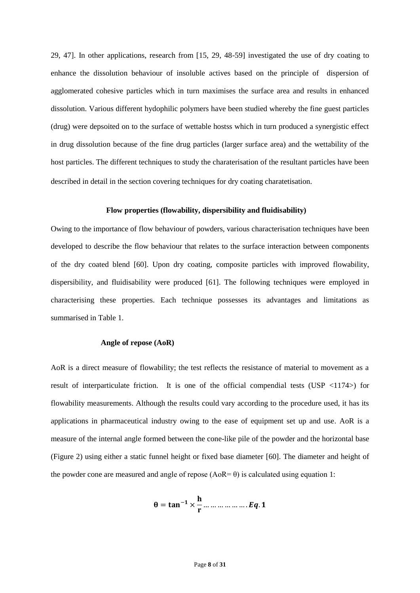29, 47]. In other applications, research from [15, 29, 48-59] investigated the use of dry coating to enhance the dissolution behaviour of insoluble actives based on the principle of dispersion of agglomerated cohesive particles which in turn maximises the surface area and results in enhanced dissolution. Various different hydophilic polymers have been studied whereby the fine guest particles (drug) were depsoited on to the surface of wettable hostss which in turn produced a synergistic effect in drug dissolution because of the fine drug particles (larger surface area) and the wettability of the host particles. The different techniques to study the charaterisation of the resultant particles have been described in detail in the section covering techniques for dry coating charatetisation.

#### **Flow properties (flowability, dispersibility and fluidisability)**

Owing to the importance of flow behaviour of powders, various characterisation techniques have been developed to describe the flow behaviour that relates to the surface interaction between components of the dry coated blend [60]. Upon dry coating, composite particles with improved flowability, dispersibility, and fluidisability were produced [61]. The following techniques were employed in characterising these properties. Each technique possesses its advantages and limitations as summarised in Table 1.

# **Angle of repose (AoR)**

AoR is a direct measure of flowability; the test reflects the resistance of material to movement as a result of interparticulate friction. It is one of the official compendial tests (USP  $\langle 1174 \rangle$ ) for flowability measurements. Although the results could vary according to the procedure used, it has its applications in pharmaceutical industry owing to the ease of equipment set up and use. AoR is a measure of the internal angle formed between the cone-like pile of the powder and the horizontal base (Figure 2) using either a static funnel height or fixed base diameter [60]. The diameter and height of the powder cone are measured and angle of repose  $(AoR= \theta)$  is calculated using equation 1:

$$
\theta = \tan^{-1} \times \frac{h}{r} \dots \dots \dots \dots \dots \dots Eq. 1
$$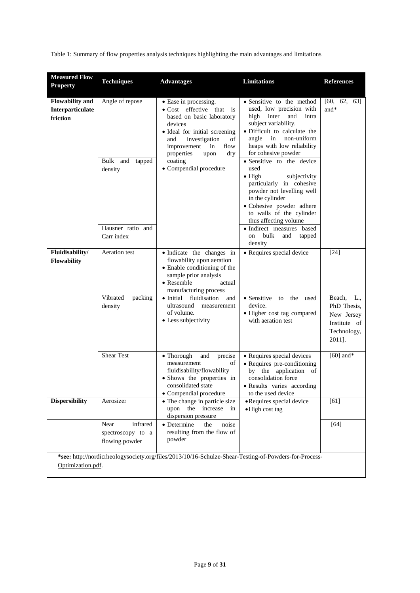Table 1: Summary of flow properties analysis techniques highlighting the main advantages and limitations

| <b>Measured Flow</b><br><b>Property</b>                | <b>Techniques</b>                                                                      | <b>Advantages</b>                                                                                                                                                                                                                                                                      | Limitations                                                                                                                                                                                                                                                                                                                                                                                                                                                                                                                                  | <b>References</b>                                                                        |
|--------------------------------------------------------|----------------------------------------------------------------------------------------|----------------------------------------------------------------------------------------------------------------------------------------------------------------------------------------------------------------------------------------------------------------------------------------|----------------------------------------------------------------------------------------------------------------------------------------------------------------------------------------------------------------------------------------------------------------------------------------------------------------------------------------------------------------------------------------------------------------------------------------------------------------------------------------------------------------------------------------------|------------------------------------------------------------------------------------------|
| <b>Flowability and</b><br>Interparticulate<br>friction | Angle of repose<br>Bulk<br>and<br>tapped<br>density<br>Hausner ratio and<br>Carr index | • Ease in processing.<br>• Cost effective that is<br>based on basic laboratory<br>devices<br>• Ideal for initial screening<br>investigation<br>and<br>of<br>improvement<br>in<br>flow<br>properties<br>upon<br>dry<br>coating<br>• Compendial procedure                                | • Sensitive to the method<br>used, low precision with<br>high<br>inter<br>and<br>intra<br>subject variability.<br>· Difficult to calculate the<br>non-uniform<br>angle<br>in<br>heaps with low reliability<br>for cohesive powder<br>• Sensitive to the device<br>used<br>$\bullet$ High<br>subjectivity<br>particularly in cohesive<br>powder not levelling well<br>in the cylinder<br>· Cohesive powder adhere<br>to walls of the cylinder<br>thus affecting volume<br>· Indirect measures based<br>bulk<br>on<br>and<br>tapped<br>density | [60, 62, 63]<br>and*                                                                     |
| Fluidisability/<br><b>Flowability</b>                  | Aeration test<br>Vibrated<br>packing<br>density                                        | • Indicate the changes in<br>flowability upon aeration<br>• Enable conditioning of the<br>sample prior analysis<br>$\bullet$ Resemble<br>actual<br>manufacturing process<br>$\bullet$ Initial<br>fluidisation<br>and<br>ultrasound<br>measurement<br>of volume.<br>• Less subjectivity | • Requires special device<br>$\bullet$ Sensitive<br>to the<br>used<br>device.<br>• Higher cost tag compared<br>with aeration test                                                                                                                                                                                                                                                                                                                                                                                                            | [24]<br>Beach, L.,<br>PhD Thesis,<br>New Jersey<br>Institute of<br>Technology,<br>2011]. |
|                                                        | <b>Shear Test</b>                                                                      | • Thorough<br>and<br>precise<br>measurement<br>of<br>fluidisability/flowability<br>· Shows the properties in<br>consolidated state<br>• Compendial procedure                                                                                                                           | • Requires special devices<br>• Requires pre-conditioning<br>by the application of<br>consolidation force<br>· Results varies according<br>to the used device                                                                                                                                                                                                                                                                                                                                                                                | $[60]$ and*                                                                              |
| <b>Dispersibility</b>                                  | Aerosizer                                                                              | • The change in particle size<br>upon the increase in<br>dispersion pressure                                                                                                                                                                                                           | • Requires special device<br>·High cost tag                                                                                                                                                                                                                                                                                                                                                                                                                                                                                                  | [61]                                                                                     |
|                                                        | infrared<br>Near<br>spectroscopy to a<br>flowing powder                                | • Determine<br>the<br>noise<br>resulting from the flow of<br>powder                                                                                                                                                                                                                    |                                                                                                                                                                                                                                                                                                                                                                                                                                                                                                                                              | $[64]$                                                                                   |
| Optimization.pdf.                                      |                                                                                        | *see: http://nordicrheologysociety.org/files/2013/10/16-Schulze-Shear-Testing-of-Powders-for-Process-                                                                                                                                                                                  |                                                                                                                                                                                                                                                                                                                                                                                                                                                                                                                                              |                                                                                          |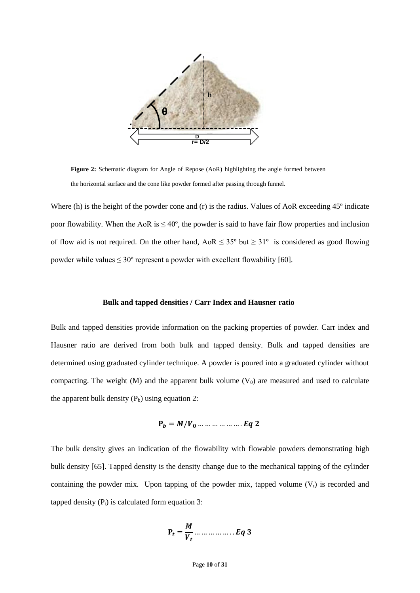

**Figure 2:** Schematic diagram for Angle of Repose (AoR) highlighting the angle formed between the horizontal surface and the cone like powder formed after passing through funnel.

Where (h) is the height of the powder cone and (r) is the radius. Values of AoR exceeding 45<sup>°</sup> indicate poor flowability. When the AoR is  $\leq 40^{\circ}$ , the powder is said to have fair flow properties and inclusion of flow aid is not required. On the other hand,  $A \circ R \leq 35^{\circ}$  but  $\geq 31^{\circ}$  is considered as good flowing powder while values  $\leq 30^{\circ}$  represent a powder with excellent flowability [60].

#### **Bulk and tapped densities / Carr Index and Hausner ratio**

Bulk and tapped densities provide information on the packing properties of powder. Carr index and Hausner ratio are derived from both bulk and tapped density. Bulk and tapped densities are determined using graduated cylinder technique. A powder is poured into a graduated cylinder without compacting. The weight (M) and the apparent bulk volume  $(V_0)$  are measured and used to calculate the apparent bulk density  $(P_b)$  using equation 2:

 $P_h = M/V_0 ... ... ... ... ...$   $Eq 2$ 

The bulk density gives an indication of the flowability with flowable powders demonstrating high bulk density [65]. Tapped density is the density change due to the mechanical tapping of the cylinder containing the powder mix. Upon tapping of the powder mix, tapped volume  $(V_t)$  is recorded and tapped density  $(P_t)$  is calculated form equation 3:

$$
P_t = \frac{M}{V_t} \dots \dots \dots \dots \dots Eq 3
$$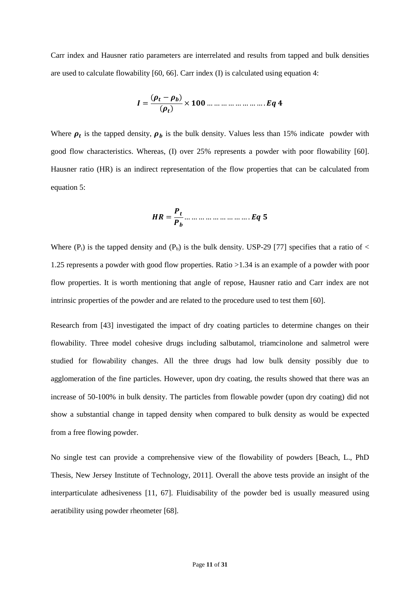Carr index and Hausner ratio parameters are interrelated and results from tapped and bulk densities are used to calculate flowability [60, 66]. Carr index (I) is calculated using equation 4:

$$
I=\frac{(\rho_t-\rho_b)}{(\rho_t)}\times 100\ldots\ldots\ldots\ldots\ldots\ldots\ldots Eq4
$$

Where  $\rho_t$  is the tapped density,  $\rho_b$  is the bulk density. Values less than 15% indicate powder with good flow characteristics. Whereas, (I) over 25% represents a powder with poor flowability [60]. Hausner ratio (HR) is an indirect representation of the flow properties that can be calculated from equation 5:

 = … … … … … … … … … .

Where  $(P_t)$  is the tapped density and  $(P_b)$  is the bulk density. USP-29 [77] specifies that a ratio of  $\lt$ 1.25 represents a powder with good flow properties. Ratio >1.34 is an example of a powder with poor flow properties. It is worth mentioning that angle of repose, Hausner ratio and Carr index are not intrinsic properties of the powder and are related to the procedure used to test them [60].

Research from [43] investigated the impact of dry coating particles to determine changes on their flowability. Three model cohesive drugs including salbutamol, triamcinolone and salmetrol were studied for flowability changes. All the three drugs had low bulk density possibly due to agglomeration of the fine particles. However, upon dry coating, the results showed that there was an increase of 50-100% in bulk density. The particles from flowable powder (upon dry coating) did not show a substantial change in tapped density when compared to bulk density as would be expected from a free flowing powder.

No single test can provide a comprehensive view of the flowability of powders [Beach, L., PhD Thesis, New Jersey Institute of Technology, 2011]. Overall the above tests provide an insight of the interparticulate adhesiveness [11, 67]. Fluidisability of the powder bed is usually measured using aeratibility using powder rheometer [68].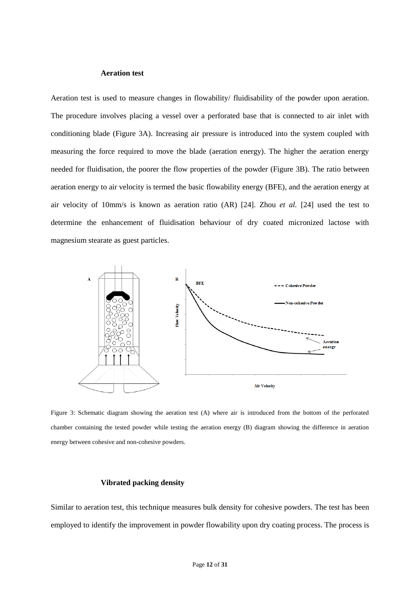# **Aeration test**

Aeration test is used to measure changes in flowability/ fluidisability of the powder upon aeration. The procedure involves placing a vessel over a perforated base that is connected to air inlet with conditioning blade (Figure 3A). Increasing air pressure is introduced into the system coupled with measuring the force required to move the blade (aeration energy). The higher the aeration energy needed for fluidisation, the poorer the flow properties of the powder (Figure 3B). The ratio between aeration energy to air velocity is termed the basic flowability energy (BFE), and the aeration energy at air velocity of 10mm/s is known as aeration ratio (AR) [24]. Zhou *et al.* [24] used the test to determine the enhancement of fluidisation behaviour of dry coated micronized lactose with magnesium stearate as guest particles.



Figure 3: Schematic diagram showing the aeration test (A) where air is introduced from the bottom of the perforated chamber containing the tested powder while testing the aeration energy (B) diagram showing the difference in aeration energy between cohesive and non-cohesive powders.

# **Vibrated packing density**

Similar to aeration test, this technique measures bulk density for cohesive powders. The test has been employed to identify the improvement in powder flowability upon dry coating process. The process is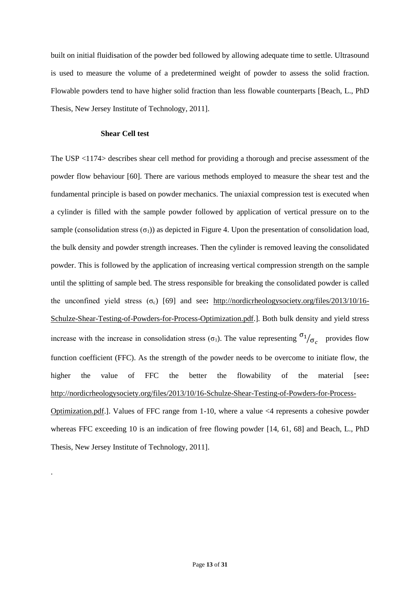built on initial fluidisation of the powder bed followed by allowing adequate time to settle. Ultrasound is used to measure the volume of a predetermined weight of powder to assess the solid fraction. Flowable powders tend to have higher solid fraction than less flowable counterparts [Beach, L., PhD Thesis, New Jersey Institute of Technology, 2011].

#### **Shear Cell test**

.

The USP <1174> describes shear cell method for providing a thorough and precise assessment of the powder flow behaviour [60]. There are various methods employed to measure the shear test and the fundamental principle is based on powder mechanics. The uniaxial compression test is executed when a cylinder is filled with the sample powder followed by application of vertical pressure on to the sample (consolidation stress  $(\sigma_1)$ ) as depicted in Figure 4. Upon the presentation of consolidation load, the bulk density and powder strength increases. Then the cylinder is removed leaving the consolidated powder. This is followed by the application of increasing vertical compression strength on the sample until the splitting of sample bed. The stress responsible for breaking the consolidated powder is called the unconfined yield stress (σ<sub>c</sub>) [69] and see: [http://nordicrheologysociety.org/files/2013/10/16-](http://nordicrheologysociety.org/files/2013/10/16-Schulze-Shear-Testing-of-Powders-for-Process-Optimization.pdf) [Schulze-Shear-Testing-of-Powders-for-Process-Optimization.pdf.](http://nordicrheologysociety.org/files/2013/10/16-Schulze-Shear-Testing-of-Powders-for-Process-Optimization.pdf)]. Both bulk density and yield stress increase with the increase in consolidation stress ( $\sigma_1$ ). The value representing  $\sigma_1/\sigma_c$  provides flow function coefficient (FFC). As the strength of the powder needs to be overcome to initiate flow, the higher the value of FFC the better the flowability of the material [see**:**  [http://nordicrheologysociety.org/files/2013/10/16-Schulze-Shear-Testing-of-Powders-for-Process-](http://nordicrheologysociety.org/files/2013/10/16-Schulze-Shear-Testing-of-Powders-for-Process-Optimization.pdf)[Optimization.pdf.](http://nordicrheologysociety.org/files/2013/10/16-Schulze-Shear-Testing-of-Powders-for-Process-Optimization.pdf)]. Values of FFC range from 1-10, where a value <4 represents a cohesive powder whereas FFC exceeding 10 is an indication of free flowing powder [14, 61, 68] and Beach, L., PhD Thesis, New Jersey Institute of Technology, 2011].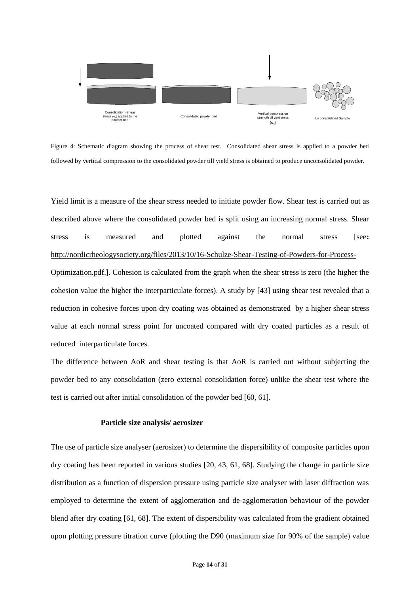

Figure 4: Schematic diagram showing the process of shear test. Consolidated shear stress is applied to a powder bed followed by vertical compression to the consolidated powder till yield stress is obtained to produce unconsolidated powder.

Yield limit is a measure of the shear stress needed to initiate powder flow. Shear test is carried out as described above where the consolidated powder bed is split using an increasing normal stress. Shear stress is measured and plotted against the normal stress [see**:**  [http://nordicrheologysociety.org/files/2013/10/16-Schulze-Shear-Testing-of-Powders-for-Process-](http://nordicrheologysociety.org/files/2013/10/16-Schulze-Shear-Testing-of-Powders-for-Process-Optimization.pdf)

[Optimization.pdf.](http://nordicrheologysociety.org/files/2013/10/16-Schulze-Shear-Testing-of-Powders-for-Process-Optimization.pdf)]. Cohesion is calculated from the graph when the shear stress is zero (the higher the cohesion value the higher the interparticulate forces). A study by [43] using shear test revealed that a reduction in cohesive forces upon dry coating was obtained as demonstrated by a higher shear stress value at each normal stress point for uncoated compared with dry coated particles as a result of reduced interparticulate forces.

The difference between AoR and shear testing is that AoR is carried out without subjecting the powder bed to any consolidation (zero external consolidation force) unlike the shear test where the test is carried out after initial consolidation of the powder bed [60, 61].

# **Particle size analysis/ aerosizer**

The use of particle size analyser (aerosizer) to determine the dispersibility of composite particles upon dry coating has been reported in various studies [20, 43, 61, 68]. Studying the change in particle size distribution as a function of dispersion pressure using particle size analyser with laser diffraction was employed to determine the extent of agglomeration and de-agglomeration behaviour of the powder blend after dry coating [61, 68]. The extent of dispersibility was calculated from the gradient obtained upon plotting pressure titration curve (plotting the D90 (maximum size for 90% of the sample) value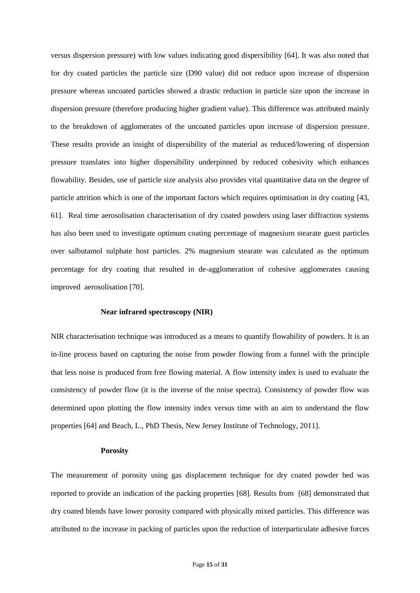versus dispersion pressure) with low values indicating good dispersibility [64]. It was also noted that for dry coated particles the particle size (D90 value) did not reduce upon increase of dispersion pressure whereas uncoated particles showed a drastic reduction in particle size upon the increase in dispersion pressure (therefore producing higher gradient value). This difference was attributed mainly to the breakdown of agglomerates of the uncoated particles upon increase of dispersion pressure. These results provide an insight of dispersibility of the material as reduced/lowering of dispersion pressure translates into higher dispersibility underpinned by reduced cohesivity which enhances flowability. Besides, use of particle size analysis also provides vital quantitative data on the degree of particle attrition which is one of the important factors which requires optimisation in dry coating [43, 61]. Real time aerosolisation characterisation of dry coated powders using laser diffraction systems has also been used to investigate optimum coating percentage of magnesium stearate guest particles over salbutamol sulphate host particles. 2% magnesium stearate was calculated as the optimum percentage for dry coating that resulted in de-agglomeration of cohesive agglomerates causing improved aerosolisation [70].

#### **Near infrared spectroscopy (NIR)**

NIR characterisation technique was introduced as a means to quantify flowability of powders. It is an in-line process based on capturing the noise from powder flowing from a funnel with the principle that less noise is produced from free flowing material. A flow intensity index is used to evaluate the consistency of powder flow (it is the inverse of the noise spectra). Consistency of powder flow was determined upon plotting the flow intensity index versus time with an aim to understand the flow properties [64] and Beach, L., PhD Thesis, New Jersey Institute of Technology, 2011].

# **Porosity**

The measurement of porosity using gas displacement technique for dry coated powder bed was reported to provide an indication of the packing properties [68]. Results from [68] demonstrated that dry coated blends have lower porosity compared with physically mixed particles. This difference was attributed to the increase in packing of particles upon the reduction of interparticulate adhesive forces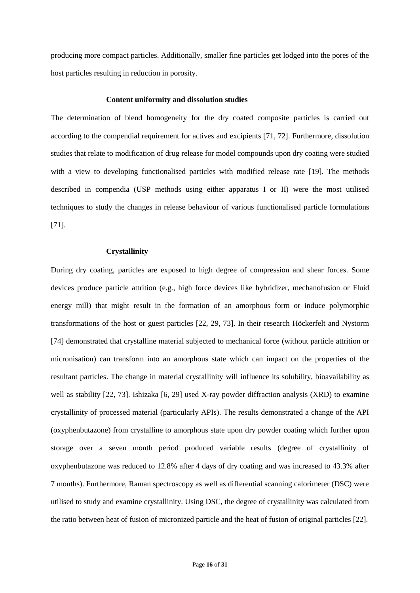producing more compact particles. Additionally, smaller fine particles get lodged into the pores of the host particles resulting in reduction in porosity.

#### **Content uniformity and dissolution studies**

The determination of blend homogeneity for the dry coated composite particles is carried out according to the compendial requirement for actives and excipients [71, 72]. Furthermore, dissolution studies that relate to modification of drug release for model compounds upon dry coating were studied with a view to developing functionalised particles with modified release rate [19]. The methods described in compendia (USP methods using either apparatus I or II) were the most utilised techniques to study the changes in release behaviour of various functionalised particle formulations [71].

# **Crystallinity**

During dry coating, particles are exposed to high degree of compression and shear forces. Some devices produce particle attrition (e.g., high force devices like hybridizer, mechanofusion or Fluid energy mill) that might result in the formation of an amorphous form or induce polymorphic transformations of the host or guest particles [22, 29, 73]. In their research Höckerfelt and Nystorm [74] demonstrated that crystalline material subjected to mechanical force (without particle attrition or micronisation) can transform into an amorphous state which can impact on the properties of the resultant particles. The change in material crystallinity will influence its solubility, bioavailability as well as stability [22, 73]. Ishizaka [6, 29] used X-ray powder diffraction analysis (XRD) to examine crystallinity of processed material (particularly APIs). The results demonstrated a change of the API (oxyphenbutazone) from crystalline to amorphous state upon dry powder coating which further upon storage over a seven month period produced variable results (degree of crystallinity of oxyphenbutazone was reduced to 12.8% after 4 days of dry coating and was increased to 43.3% after 7 months). Furthermore, Raman spectroscopy as well as differential scanning calorimeter (DSC) were utilised to study and examine crystallinity. Using DSC, the degree of crystallinity was calculated from the ratio between heat of fusion of micronized particle and the heat of fusion of original particles [22].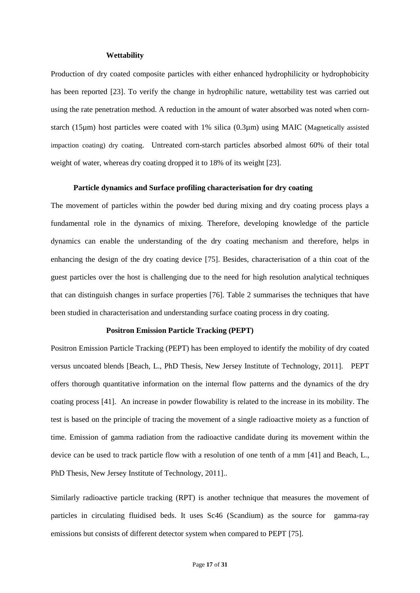#### **Wettability**

Production of dry coated composite particles with either enhanced hydrophilicity or hydrophobicity has been reported [23]. To verify the change in hydrophilic nature, wettability test was carried out using the rate penetration method. A reduction in the amount of water absorbed was noted when cornstarch (15µm) host particles were coated with 1% silica (0.3µm) using MAIC (Magnetically assisted impaction coating) dry coating. Untreated corn-starch particles absorbed almost 60% of their total weight of water, whereas dry coating dropped it to 18% of its weight [23].

#### **Particle dynamics and Surface profiling characterisation for dry coating**

The movement of particles within the powder bed during mixing and dry coating process plays a fundamental role in the dynamics of mixing. Therefore, developing knowledge of the particle dynamics can enable the understanding of the dry coating mechanism and therefore, helps in enhancing the design of the dry coating device [75]. Besides, characterisation of a thin coat of the guest particles over the host is challenging due to the need for high resolution analytical techniques that can distinguish changes in surface properties [76]. Table 2 summarises the techniques that have been studied in characterisation and understanding surface coating process in dry coating.

# **Positron Emission Particle Tracking (PEPT)**

Positron Emission Particle Tracking (PEPT) has been employed to identify the mobility of dry coated versus uncoated blends [Beach, L., PhD Thesis, New Jersey Institute of Technology, 2011]. PEPT offers thorough quantitative information on the internal flow patterns and the dynamics of the dry coating process [41]. An increase in powder flowability is related to the increase in its mobility. The test is based on the principle of tracing the movement of a single radioactive moiety as a function of time. Emission of gamma radiation from the radioactive candidate during its movement within the device can be used to track particle flow with a resolution of one tenth of a mm [41] and Beach, L., PhD Thesis, New Jersey Institute of Technology, 2011]..

Similarly radioactive particle tracking (RPT) is another technique that measures the movement of particles in circulating fluidised beds. It uses Sc46 (Scandium) as the source for gamma-ray emissions but consists of different detector system when compared to PEPT [75].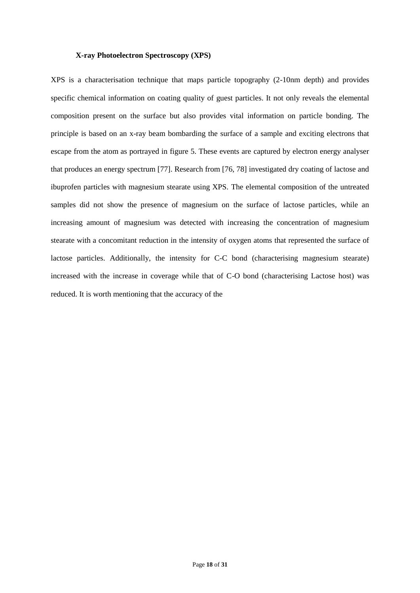#### **X-ray Photoelectron Spectroscopy (XPS)**

XPS is a characterisation technique that maps particle topography (2-10nm depth) and provides specific chemical information on coating quality of guest particles. It not only reveals the elemental composition present on the surface but also provides vital information on particle bonding. The principle is based on an x-ray beam bombarding the surface of a sample and exciting electrons that escape from the atom as portrayed in figure 5. These events are captured by electron energy analyser that produces an energy spectrum [77]. Research from [76, 78] investigated dry coating of lactose and ibuprofen particles with magnesium stearate using XPS. The elemental composition of the untreated samples did not show the presence of magnesium on the surface of lactose particles, while an increasing amount of magnesium was detected with increasing the concentration of magnesium stearate with a concomitant reduction in the intensity of oxygen atoms that represented the surface of lactose particles. Additionally, the intensity for C-C bond (characterising magnesium stearate) increased with the increase in coverage while that of C-O bond (characterising Lactose host) was reduced. It is worth mentioning that the accuracy of the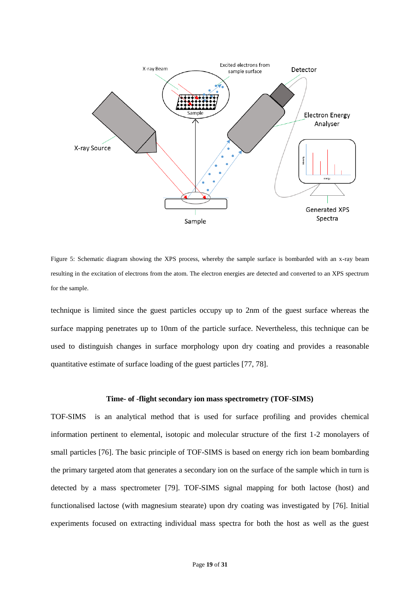

Figure 5: Schematic diagram showing the XPS process, whereby the sample surface is bombarded with an x-ray beam resulting in the excitation of electrons from the atom. The electron energies are detected and converted to an XPS spectrum for the sample.

technique is limited since the guest particles occupy up to 2nm of the guest surface whereas the surface mapping penetrates up to 10nm of the particle surface. Nevertheless, this technique can be used to distinguish changes in surface morphology upon dry coating and provides a reasonable quantitative estimate of surface loading of the guest particles [77, 78].

# **Time- of -flight secondary ion mass spectrometry (TOF-SIMS)**

TOF-SIMS is an analytical method that is used for surface profiling and provides chemical information pertinent to elemental, isotopic and molecular structure of the first 1-2 monolayers of small particles [76]. The basic principle of TOF-SIMS is based on energy rich ion beam bombarding the primary targeted atom that generates a secondary ion on the surface of the sample which in turn is detected by a mass spectrometer [79]. TOF-SIMS signal mapping for both lactose (host) and functionalised lactose (with magnesium stearate) upon dry coating was investigated by [76]. Initial experiments focused on extracting individual mass spectra for both the host as well as the guest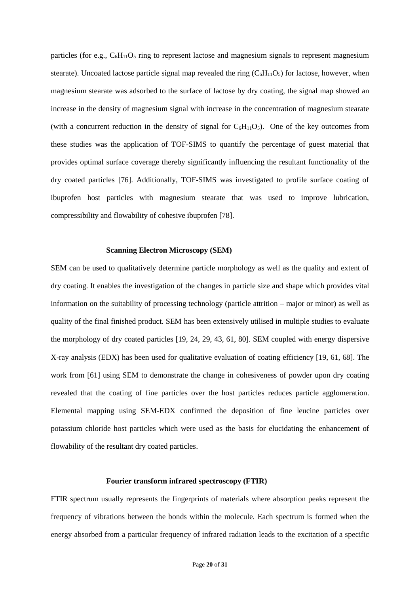particles (for e.g.,  $C_6H_{11}O_5$  ring to represent lactose and magnesium signals to represent magnesium stearate). Uncoated lactose particle signal map revealed the ring  $(C_6H_{11}O_5)$  for lactose, however, when magnesium stearate was adsorbed to the surface of lactose by dry coating, the signal map showed an increase in the density of magnesium signal with increase in the concentration of magnesium stearate (with a concurrent reduction in the density of signal for  $C_6H_{11}O_5$ ). One of the key outcomes from these studies was the application of TOF-SIMS to quantify the percentage of guest material that provides optimal surface coverage thereby significantly influencing the resultant functionality of the dry coated particles [76]. Additionally, TOF-SIMS was investigated to profile surface coating of ibuprofen host particles with magnesium stearate that was used to improve lubrication, compressibility and flowability of cohesive ibuprofen [78].

#### **Scanning Electron Microscopy (SEM)**

SEM can be used to qualitatively determine particle morphology as well as the quality and extent of dry coating. It enables the investigation of the changes in particle size and shape which provides vital information on the suitability of processing technology (particle attrition – major or minor) as well as quality of the final finished product. SEM has been extensively utilised in multiple studies to evaluate the morphology of dry coated particles [19, 24, 29, 43, 61, 80]. SEM coupled with energy dispersive X-ray analysis (EDX) has been used for qualitative evaluation of coating efficiency [19, 61, 68]. The work from [61] using SEM to demonstrate the change in cohesiveness of powder upon dry coating revealed that the coating of fine particles over the host particles reduces particle agglomeration. Elemental mapping using SEM-EDX confirmed the deposition of fine leucine particles over potassium chloride host particles which were used as the basis for elucidating the enhancement of flowability of the resultant dry coated particles.

# **Fourier transform infrared spectroscopy (FTIR)**

FTIR spectrum usually represents the fingerprints of materials where absorption peaks represent the frequency of vibrations between the bonds within the molecule. Each spectrum is formed when the energy absorbed from a particular frequency of infrared radiation leads to the excitation of a specific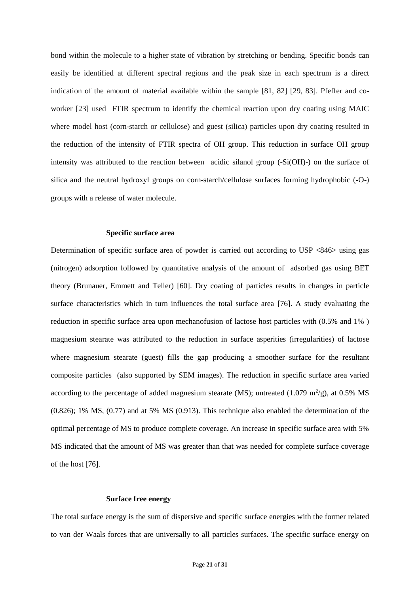bond within the molecule to a higher state of vibration by stretching or bending. Specific bonds can easily be identified at different spectral regions and the peak size in each spectrum is a direct indication of the amount of material available within the sample [81, 82] [29, 83]. Pfeffer and coworker [23] used FTIR spectrum to identify the chemical reaction upon dry coating using MAIC where model host (corn-starch or cellulose) and guest (silica) particles upon dry coating resulted in the reduction of the intensity of FTIR spectra of OH group. This reduction in surface OH group intensity was attributed to the reaction between acidic silanol group (-Si(OH)-) on the surface of silica and the neutral hydroxyl groups on corn-starch/cellulose surfaces forming hydrophobic (-O-) groups with a release of water molecule.

#### **Specific surface area**

Determination of specific surface area of powder is carried out according to USP <846> using gas (nitrogen) adsorption followed by quantitative analysis of the amount of adsorbed gas using BET theory (Brunauer, Emmett and Teller) [60]. Dry coating of particles results in changes in particle surface characteristics which in turn influences the total surface area [76]. A study evaluating the reduction in specific surface area upon mechanofusion of lactose host particles with (0.5% and 1% ) magnesium stearate was attributed to the reduction in surface asperities (irregularities) of lactose where magnesium stearate (guest) fills the gap producing a smoother surface for the resultant composite particles (also supported by SEM images). The reduction in specific surface area varied according to the percentage of added magnesium stearate (MS); untreated (1.079 m<sup>2</sup>/g), at 0.5% MS (0.826); 1% MS, (0.77) and at 5% MS (0.913). This technique also enabled the determination of the optimal percentage of MS to produce complete coverage. An increase in specific surface area with 5% MS indicated that the amount of MS was greater than that was needed for complete surface coverage of the host [76].

## **Surface free energy**

The total surface energy is the sum of dispersive and specific surface energies with the former related to van der Waals forces that are universally to all particles surfaces. The specific surface energy on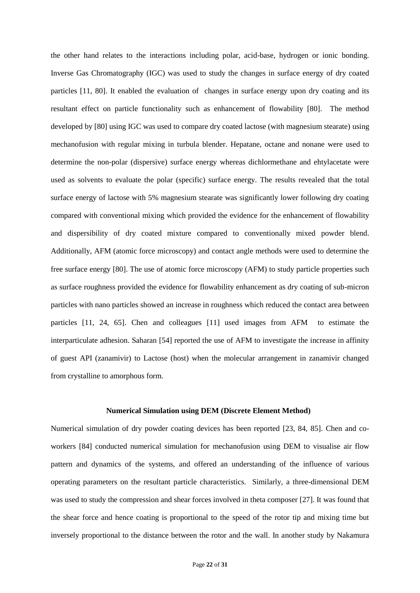the other hand relates to the interactions including polar, acid-base, hydrogen or ionic bonding. Inverse Gas Chromatography (IGC) was used to study the changes in surface energy of dry coated particles [11, 80]. It enabled the evaluation of changes in surface energy upon dry coating and its resultant effect on particle functionality such as enhancement of flowability [80]. The method developed by [80] using IGC was used to compare dry coated lactose (with magnesium stearate) using mechanofusion with regular mixing in turbula blender. Hepatane, octane and nonane were used to determine the non-polar (dispersive) surface energy whereas dichlormethane and ehtylacetate were used as solvents to evaluate the polar (specific) surface energy. The results revealed that the total surface energy of lactose with 5% magnesium stearate was significantly lower following dry coating compared with conventional mixing which provided the evidence for the enhancement of flowability and dispersibility of dry coated mixture compared to conventionally mixed powder blend. Additionally, AFM (atomic force microscopy) and contact angle methods were used to determine the free surface energy [80]. The use of atomic force microscopy (AFM) to study particle properties such as surface roughness provided the evidence for flowability enhancement as dry coating of sub-micron particles with nano particles showed an increase in roughness which reduced the contact area between particles [11, 24, 65]. Chen and colleagues [11] used images from AFM to estimate the interparticulate adhesion. Saharan [54] reported the use of AFM to investigate the increase in affinity of guest API (zanamivir) to Lactose (host) when the molecular arrangement in zanamivir changed from crystalline to amorphous form.

#### **Numerical Simulation using DEM (Discrete Element Method)**

Numerical simulation of dry powder coating devices has been reported [23, 84, 85]. Chen and coworkers [84] conducted numerical simulation for mechanofusion using DEM to visualise air flow pattern and dynamics of the systems, and offered an understanding of the influence of various operating parameters on the resultant particle characteristics. Similarly, a three-dimensional DEM was used to study the compression and shear forces involved in theta composer [27]. It was found that the shear force and hence coating is proportional to the speed of the rotor tip and mixing time but inversely proportional to the distance between the rotor and the wall. In another study by Nakamura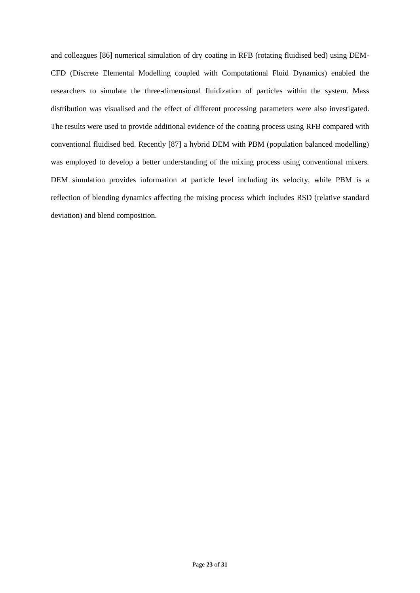and colleagues [86] numerical simulation of dry coating in RFB (rotating fluidised bed) using DEM-CFD (Discrete Elemental Modelling coupled with Computational Fluid Dynamics) enabled the researchers to simulate the three-dimensional fluidization of particles within the system. Mass distribution was visualised and the effect of different processing parameters were also investigated. The results were used to provide additional evidence of the coating process using RFB compared with conventional fluidised bed. Recently [87] a hybrid DEM with PBM (population balanced modelling) was employed to develop a better understanding of the mixing process using conventional mixers. DEM simulation provides information at particle level including its velocity, while PBM is a reflection of blending dynamics affecting the mixing process which includes RSD (relative standard deviation) and blend composition.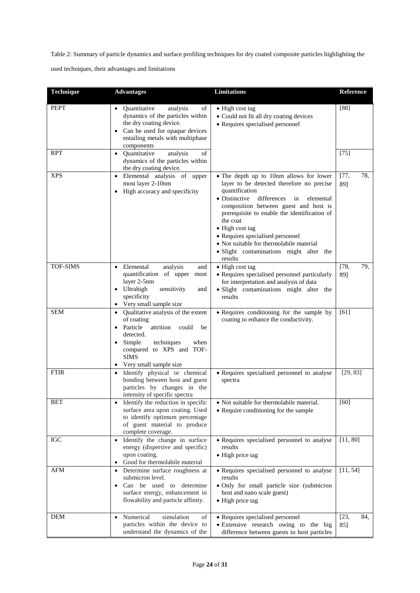Table 2: Summary of particle dynamics and surface profiling techniques for dry coated composite particles highlighting the

used techniques, their advantages and limitations

| Technique   | <b>Advantages</b>                                                                                                                                                                                          | <b>Limitations</b>                                                                                                                                                                                                                                                                                                                                                                                                      | Reference            |
|-------------|------------------------------------------------------------------------------------------------------------------------------------------------------------------------------------------------------------|-------------------------------------------------------------------------------------------------------------------------------------------------------------------------------------------------------------------------------------------------------------------------------------------------------------------------------------------------------------------------------------------------------------------------|----------------------|
| <b>PEPT</b> | Quantitative<br>analysis<br>of<br>dynamics of the particles within<br>the dry coating device.<br>Can be used for opaque devices<br>entailing metals with multiphase<br>components                          | • High cost tag<br>• Could not fit all dry coating devices<br>• Requires specialised personnel                                                                                                                                                                                                                                                                                                                          | [88]                 |
| <b>RPT</b>  | Quantitative<br>analysis<br>of<br>$\bullet$<br>dynamics of the particles within<br>the dry coating device.                                                                                                 |                                                                                                                                                                                                                                                                                                                                                                                                                         | $[75]$               |
| <b>XPS</b>  | Elemental analysis of upper<br>most layer 2-10nm<br>High accuracy and specificity                                                                                                                          | • The depth up to 10nm allows for lower<br>layer to be detected therefore no precise<br>quantification<br>• Distinctive<br>differences<br>in<br>elemental<br>composition between guest and host is<br>prerequisite to enable the identification of<br>the coat<br>• High cost tag<br>• Requires specialised personnel<br>• Not suitable for thermolabile material<br>· Slight contaminations might alter the<br>results | [77,<br>78,<br>89]   |
| TOF-SIMS    | Elemental<br>analysis<br>and<br>quantification of upper<br>most<br>layer 2-5nm<br>Ultrahigh<br>sensitivity<br>and<br>specificity<br>Very small sample size                                                 | • High cost tag<br>• Requires specialised personnel particularly<br>for interpretation and analysis of data<br>· Slight contaminations might alter the<br>results                                                                                                                                                                                                                                                       | $[78,$<br>79,<br>89] |
| <b>SEM</b>  | Qualitative analysis of the extent<br>of coating<br>Particle<br>attrition<br>could<br>be<br>detected.<br>Simple<br>techniques<br>when<br>compared to XPS and TOF-<br><b>SIMS</b><br>Very small sample size | • Requires conditioning for the sample by<br>coating to enhance the conductivity.                                                                                                                                                                                                                                                                                                                                       | [61]                 |
| <b>FTIR</b> | Identify physical or chemical<br>bonding between host and guest<br>particles by changes in the<br>intensity of specific spectra                                                                            | • Requires specialised personnel to analyse<br>spectra                                                                                                                                                                                                                                                                                                                                                                  | [29, 83]             |
| <b>BET</b>  | Identify the reduction in specific<br>surface area upon coating. Used<br>to identify optimum percentage<br>of guest material to produce<br>complete coverage.                                              | • Not suitable for thermolabile material.<br>• Require conditioning for the sample                                                                                                                                                                                                                                                                                                                                      | $[60]$               |
| <b>IGC</b>  | Identify the change in surface<br>energy (dispersive and specific)<br>upon coating.<br>Good for thermolabile material                                                                                      | • Requires specialised personnel to analyse<br>results<br>• High price tag                                                                                                                                                                                                                                                                                                                                              | [11, 80]             |
| <b>AFM</b>  | Determine surface roughness at<br>$\bullet$<br>submicron level.<br>Can be used to determine<br>surface energy, enhancement in<br>flowability and particle affinity.                                        | • Requires specialised personnel to analyse<br>results<br>· Only for small particle size (submicron<br>host and nano scale guest)<br>• High price tag                                                                                                                                                                                                                                                                   | [11, 54]             |
| <b>DEM</b>  | Numerical<br>simulation<br>of<br>particles within the device to<br>understand the dynamics of the                                                                                                          | • Requires specialised personnel<br>· Extensive research owing to the big<br>difference between guests to host particles                                                                                                                                                                                                                                                                                                | [23,<br>84,<br>85]   |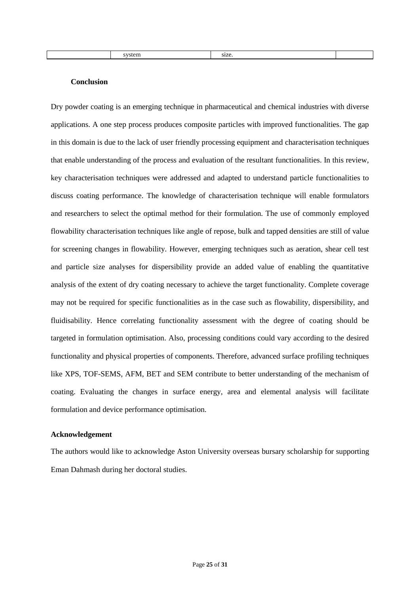#### **Conclusion**

Dry powder coating is an emerging technique in pharmaceutical and chemical industries with diverse applications. A one step process produces composite particles with improved functionalities. The gap in this domain is due to the lack of user friendly processing equipment and characterisation techniques that enable understanding of the process and evaluation of the resultant functionalities. In this review, key characterisation techniques were addressed and adapted to understand particle functionalities to discuss coating performance. The knowledge of characterisation technique will enable formulators and researchers to select the optimal method for their formulation. The use of commonly employed flowability characterisation techniques like angle of repose, bulk and tapped densities are still of value for screening changes in flowability. However, emerging techniques such as aeration, shear cell test and particle size analyses for dispersibility provide an added value of enabling the quantitative analysis of the extent of dry coating necessary to achieve the target functionality. Complete coverage may not be required for specific functionalities as in the case such as flowability, dispersibility, and fluidisability. Hence correlating functionality assessment with the degree of coating should be targeted in formulation optimisation. Also, processing conditions could vary according to the desired functionality and physical properties of components. Therefore, advanced surface profiling techniques like XPS, TOF-SEMS, AFM, BET and SEM contribute to better understanding of the mechanism of coating. Evaluating the changes in surface energy, area and elemental analysis will facilitate formulation and device performance optimisation.

# **Acknowledgement**

The authors would like to acknowledge Aston University overseas bursary scholarship for supporting Eman Dahmash during her doctoral studies.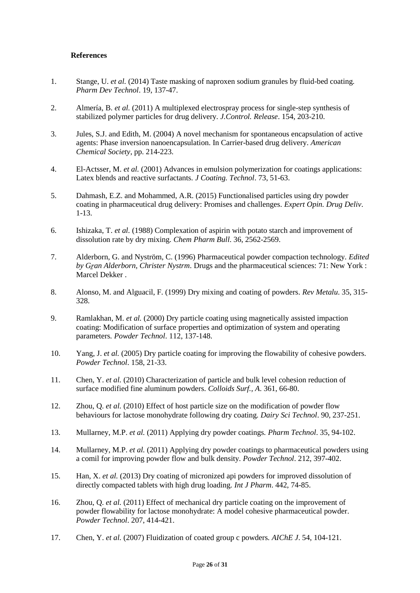# **References**

- 1. Stange, U. *et al.* (2014) Taste masking of naproxen sodium granules by fluid-bed coating*. Pharm Dev Technol*. 19, 137-47.
- 2. Almería, B. *et al.* (2011) A multiplexed electrospray process for single-step synthesis of stabilized polymer particles for drug delivery*. J.Control. Release*. 154, 203-210.
- 3. Jules, S.J. and Edith, M. (2004) A novel mechanism for spontaneous encapsulation of active agents: Phase inversion nanoencapsulation. In Carrier-based drug delivery. *American Chemical Society*, pp. 214-223.
- 4. El-Actsser, M. *et al.* (2001) Advances in emulsion polymerization for coatings applications: Latex blends and reactive surfactants*. J Coating. Technol*. 73, 51-63.
- 5. Dahmash, E.Z. and Mohammed, A.R. (2015) Functionalised particles using dry powder coating in pharmaceutical drug delivery: Promises and challenges*. Expert Opin. Drug Deliv*. 1-13.
- 6. Ishizaka, T. *et al.* (1988) Complexation of aspirin with potato starch and improvement of dissolution rate by dry mixing*. Chem Pharm Bull*. 36, 2562-2569.
- 7. Alderborn, G. and Nyström, C. (1996) Pharmaceutical powder compaction technology. *Edited by Gṟan Alderborn, Christer Nystrm*. Drugs and the pharmaceutical sciences: 71: New York : Marcel Dekker .
- 8. Alonso, M. and Alguacil, F. (1999) Dry mixing and coating of powders*. Rev Metalu*. 35, 315- 328.
- 9. Ramlakhan, M. *et al.* (2000) Dry particle coating using magnetically assisted impaction coating: Modification of surface properties and optimization of system and operating parameters*. Powder Technol*. 112, 137-148.
- 10. Yang, J. *et al.* (2005) Dry particle coating for improving the flowability of cohesive powders*. Powder Technol*. 158, 21-33.
- 11. Chen, Y. *et al.* (2010) Characterization of particle and bulk level cohesion reduction of surface modified fine aluminum powders*. Colloids Surf., A*. 361, 66-80.
- 12. Zhou, Q. *et al.* (2010) Effect of host particle size on the modification of powder flow behaviours for lactose monohydrate following dry coating*. Dairy Sci Technol*. 90, 237-251.
- 13. Mullarney, M.P. *et al.* (2011) Applying dry powder coatings*. Pharm Technol*. 35, 94-102.
- 14. Mullarney, M.P. *et al.* (2011) Applying dry powder coatings to pharmaceutical powders using a comil for improving powder flow and bulk density*. Powder Technol*. 212, 397-402.
- 15. Han, X. *et al.* (2013) Dry coating of micronized api powders for improved dissolution of directly compacted tablets with high drug loading*. Int J Pharm*. 442, 74-85.
- 16. Zhou, Q. *et al.* (2011) Effect of mechanical dry particle coating on the improvement of powder flowability for lactose monohydrate: A model cohesive pharmaceutical powder*. Powder Technol*. 207, 414-421.
- 17. Chen, Y. *et al.* (2007) Fluidization of coated group c powders*. AIChE J*. 54, 104-121.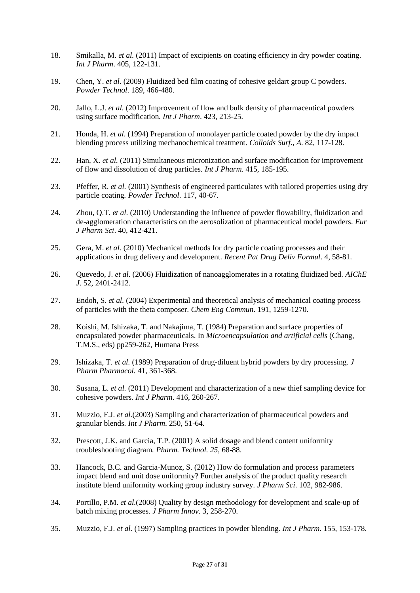- 18. Smikalla, M. *et al.* (2011) Impact of excipients on coating efficiency in dry powder coating*. Int J Pharm*. 405, 122-131.
- 19. Chen, Y. *et al.* (2009) Fluidized bed film coating of cohesive geldart group C powders*. Powder Technol*. 189, 466-480.
- 20. Jallo, L.J. *et al.* (2012) Improvement of flow and bulk density of pharmaceutical powders using surface modification*. Int J Pharm*. 423, 213-25.
- 21. Honda, H. *et al.* (1994) Preparation of monolayer particle coated powder by the dry impact blending process utilizing mechanochemical treatment*. Colloids Surf., A*. 82, 117-128.
- 22. Han, X. *et al.* (2011) Simultaneous micronization and surface modification for improvement of flow and dissolution of drug particles*. Int J Pharm*. 415, 185-195.
- 23. Pfeffer, R. *et al.* (2001) Synthesis of engineered particulates with tailored properties using dry particle coating*. Powder Technol*. 117, 40-67.
- 24. Zhou, Q.T. *et al.* (2010) Understanding the influence of powder flowability, fluidization and de-agglomeration characteristics on the aerosolization of pharmaceutical model powders*. Eur J Pharm Sci*. 40, 412-421.
- 25. Gera, M. *et al.* (2010) Mechanical methods for dry particle coating processes and their applications in drug delivery and development*. Recent Pat Drug Deliv Formul*. 4, 58-81.
- 26. Quevedo, J. *et al.* (2006) Fluidization of nanoagglomerates in a rotating fluidized bed*. AIChE J*. 52, 2401-2412.
- 27. Endoh, S. *et al.* (2004) Experimental and theoretical analysis of mechanical coating process of particles with the theta composer*. Chem Eng Commun*. 191, 1259-1270.
- 28. Koishi, M. Ishizaka, T. and Nakajima, T. (1984) Preparation and surface properties of encapsulated powder pharmaceuticals. In *Microencapsulation and artificial cells* (Chang, T.M.S., eds) pp259-262, Humana Press
- 29. Ishizaka, T. *et al.* (1989) Preparation of drug-diluent hybrid powders by dry processing*. J Pharm Pharmacol.* 41, 361-368.
- 30. Susana, L. *et al.* (2011) Development and characterization of a new thief sampling device for cohesive powders*. Int J Pharm*. 416, 260-267.
- 31. Muzzio, F.J. *et al.*(2003) Sampling and characterization of pharmaceutical powders and granular blends*. Int J Pharm*. 250, 51-64.
- 32. Prescott, J.K. and Garcia, T.P. (2001) A solid dosage and blend content uniformity troubleshooting diagram*. Pharm. Technol. 25,* 68-88.
- 33. Hancock, B.C. and Garcia-Munoz, S. (2012) How do formulation and process parameters impact blend and unit dose uniformity? Further analysis of the product quality research institute blend uniformity working group industry survey*. J Pharm Sci*. 102, 982-986.
- 34. Portillo, P.M. *et al.*(2008) Quality by design methodology for development and scale-up of batch mixing processes*. J Pharm Innov*. 3, 258-270.
- 35. Muzzio, F.J. *et al.* (1997) Sampling practices in powder blending*. Int J Pharm*. 155, 153-178.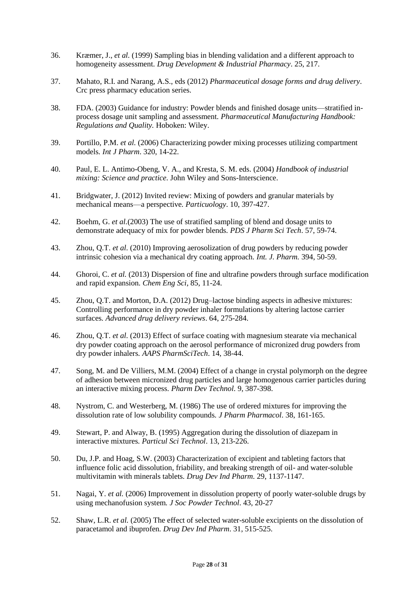- 36. Kræmer, J.*, et al.* (1999) Sampling bias in blending validation and a different approach to homogeneity assessment*. Drug Development & Industrial Pharmacy*. 25, 217.
- 37. Mahato, R.I. and Narang, A.S., eds (2012) *Pharmaceutical dosage forms and drug delivery*. Crc press pharmacy education series.
- 38. FDA. (2003) Guidance for industry: Powder blends and finished dosage units—stratified inprocess dosage unit sampling and assessment*. Pharmaceutical Manufacturing Handbook: Regulations and Quality.* Hoboken: Wiley.
- 39. Portillo, P.M. *et al.* (2006) Characterizing powder mixing processes utilizing compartment models*. Int J Pharm*. 320, 14-22.
- 40. Paul, E. L. Antimo-Obeng, V. A., and Kresta, S. M. eds. (2004) *Handbook of industrial mixing: Science and practice.* John Wiley and Sons-Interscience.
- 41. Bridgwater, J. (2012) Invited review: Mixing of powders and granular materials by mechanical means—a perspective*. Particuology*. 10, 397-427.
- 42. Boehm, G. *et al.*(2003) The use of stratified sampling of blend and dosage units to demonstrate adequacy of mix for powder blends*. PDS J Pharm Sci Tech*. 57, 59-74.
- 43. Zhou, Q.T. *et al.* (2010) Improving aerosolization of drug powders by reducing powder intrinsic cohesion via a mechanical dry coating approach*. Int. J. Pharm.* 394, 50-59.
- 44. Ghoroi, C. *et al.* (2013) Dispersion of fine and ultrafine powders through surface modification and rapid expansion*. Chem Eng Sci*, 85, 11-24.
- 45. Zhou, Q.T. and Morton, D.A. (2012) Drug–lactose binding aspects in adhesive mixtures: Controlling performance in dry powder inhaler formulations by altering lactose carrier surfaces*. Advanced drug delivery reviews*. 64, 275-284.
- 46. Zhou, Q.T. *et al.* (2013) Effect of surface coating with magnesium stearate via mechanical dry powder coating approach on the aerosol performance of micronized drug powders from dry powder inhalers*. AAPS PharmSciTech*. 14, 38-44.
- 47. Song, M. and De Villiers, M.M. (2004) Effect of a change in crystal polymorph on the degree of adhesion between micronized drug particles and large homogenous carrier particles during an interactive mixing process*. Pharm Dev Technol*. 9, 387-398.
- 48. Nystrom, C. and Westerberg, M. (1986) The use of ordered mixtures for improving the dissolution rate of low solubility compounds*. J Pharm Pharmacol*. 38, 161-165.
- 49. Stewart, P. and Alway, B. (1995) Aggregation during the dissolution of diazepam in interactive mixtures*. Particul Sci Technol*. 13, 213-226.
- 50. Du, J.P. and Hoag, S.W. (2003) Characterization of excipient and tableting factors that influence folic acid dissolution, friability, and breaking strength of oil- and water-soluble multivitamin with minerals tablets*. Drug Dev Ind Pharm*. 29, 1137-1147.
- 51. Nagai, Y. *et al.* (2006) Improvement in dissolution property of poorly water-soluble drugs by using mechanofusion system*. J Soc Powder Technol*. 43, 20-27
- 52. Shaw, L.R. *et al.* (2005) The effect of selected water-soluble excipients on the dissolution of paracetamol and ibuprofen*. Drug Dev Ind Pharm*. 31, 515-525.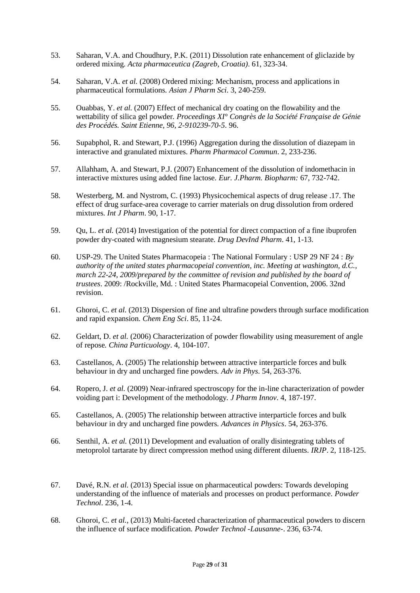- 53. Saharan, V.A. and Choudhury, P.K. (2011) Dissolution rate enhancement of gliclazide by ordered mixing*. Acta pharmaceutica (Zagreb, Croatia)*. 61, 323-34.
- 54. Saharan, V.A. *et al.* (2008) Ordered mixing: Mechanism, process and applications in pharmaceutical formulations*. Asian J Pharm Sci*. 3, 240-259.
- 55. Ouabbas, Y. *et al.* (2007) Effect of mechanical dry coating on the flowability and the wettability of silica gel powder*. Proceedings XI° Congrès de la Société Française de Génie des Procédés. Saint Etienne, 96, 2-910239-70-5*. 96.
- 56. Supabphol, R. and Stewart, P.J. (1996) Aggregation during the dissolution of diazepam in interactive and granulated mixtures*. Pharm Pharmacol Commun*. 2, 233-236.
- 57. Allahham, A. and Stewart, P.J. (2007) Enhancement of the dissolution of indomethacin in interactive mixtures using added fine lactose*. Eur. J.Pharm. Biopharm:* 67, 732-742.
- 58. Westerberg, M. and Nystrom, C. (1993) Physicochemical aspects of drug release .17. The effect of drug surface-area coverage to carrier materials on drug dissolution from ordered mixtures*. Int J Pharm*. 90, 1-17.
- 59. Qu, L. *et al.* (2014) Investigation of the potential for direct compaction of a fine ibuprofen powder dry-coated with magnesium stearate*. Drug DevInd Pharm*. 41, 1-13.
- 60. USP-29. The United States Pharmacopeia : The National Formulary : USP 29 NF 24 : *By authority of the united states pharmacopeial convention, inc. Meeting at washington, d.C., march 22-24, 2009/prepared by the committee of revision and published by the board of trustees*. 2009: /Rockville, Md. : United States Pharmacopeial Convention, 2006. 32nd revision.
- 61. Ghoroi, C. *et al.* (2013) Dispersion of fine and ultrafine powders through surface modification and rapid expansion*. Chem Eng Sci*. 85, 11-24.
- 62. Geldart, D. *et al.* (2006) Characterization of powder flowability using measurement of angle of repose*. China Particuology*. 4, 104-107.
- 63. Castellanos, A. (2005) The relationship between attractive interparticle forces and bulk behaviour in dry and uncharged fine powders*. Adv in Phys*. 54, 263-376.
- 64. Ropero, J. *et al.* (2009) Near-infrared spectroscopy for the in-line characterization of powder voiding part i: Development of the methodology*. J Pharm Innov*. 4, 187-197.
- 65. Castellanos, A. (2005) The relationship between attractive interparticle forces and bulk behaviour in dry and uncharged fine powders*. Advances in Physics*. 54, 263-376.
- 66. Senthil, A. *et al.* (2011) Development and evaluation of orally disintegrating tablets of metoprolol tartarate by direct compression method using different diluents*. IRJP*. 2, 118-125.
- 67. Davé, R.N. *et al.* (2013) Special issue on pharmaceutical powders: Towards developing understanding of the influence of materials and processes on product performance*. Powder Technol*. 236, 1-4.
- 68. Ghoroi, C. *et al.*, (2013) Multi-faceted characterization of pharmaceutical powders to discern the influence of surface modification*. Powder Technol -Lausanne-*. 236, 63-74.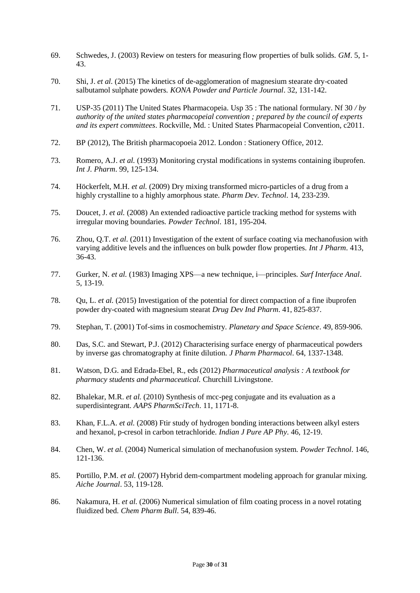- 69. Schwedes, J. (2003) Review on testers for measuring flow properties of bulk solids*. GM*. 5, 1- 43.
- 70. Shi, J. *et al.* (2015) The kinetics of de-agglomeration of magnesium stearate dry-coated salbutamol sulphate powders*. KONA Powder and Particle Journal*. 32, 131-142.
- 71. USP-35 (2011) The United States Pharmacopeia. Usp 35 : The national formulary. Nf 30 */ by authority of the united states pharmacopeial convention ; prepared by the council of experts and its expert committees*. Rockville, Md. : United States Pharmacopeial Convention, c2011.
- 72. BP (2012), The British pharmacopoeia 2012. London : Stationery Office, 2012.
- 73. Romero, A.J. *et al.* (1993) Monitoring crystal modifications in systems containing ibuprofen*. Int J. Pharm*. 99, 125-134.
- 74. Höckerfelt, M.H. *et al.* (2009) Dry mixing transformed micro-particles of a drug from a highly crystalline to a highly amorphous state*. Pharm Dev. Technol*. 14, 233-239.
- 75. Doucet, J. *et al.* (2008) An extended radioactive particle tracking method for systems with irregular moving boundaries*. Powder Technol*. 181, 195-204.
- 76. Zhou, Q.T. *et al.* (2011) Investigation of the extent of surface coating via mechanofusion with varying additive levels and the influences on bulk powder flow properties*. Int J Pharm*. 413, 36-43.
- 77. Gurker, N. *et al.* (1983) Imaging XPS—a new technique, i—principles*. Surf Interface Anal*. 5, 13-19.
- 78. Qu, L. *et al.* (2015) Investigation of the potential for direct compaction of a fine ibuprofen powder dry-coated with magnesium stearat *Drug Dev Ind Pharm*. 41, 825-837.
- 79. Stephan, T. (2001) Tof-sims in cosmochemistry*. Planetary and Space Science*. 49, 859-906.
- 80. Das, S.C. and Stewart, P.J. (2012) Characterising surface energy of pharmaceutical powders by inverse gas chromatography at finite dilution*. J Pharm Pharmacol*. 64, 1337-1348.
- 81. Watson, D.G. and Edrada-Ebel, R., eds (2012) *Pharmaceutical analysis : A textbook for pharmacy students and pharmaceutical.* Churchill Livingstone.
- 82. Bhalekar, M.R. *et al.* (2010) Synthesis of mcc-peg conjugate and its evaluation as a superdisintegrant*. AAPS PharmSciTech*. 11, 1171-8.
- 83. Khan, F.L.A. *et al.* (2008) Ftir study of hydrogen bonding interactions between alkyl esters and hexanol, p-cresol in carbon tetrachloride*. Indian J Pure AP Phy*. 46, 12-19.
- 84. Chen, W. *et al.* (2004) Numerical simulation of mechanofusion system*. Powder Technol*. 146, 121-136.
- 85. Portillo, P.M. *et al.* (2007) Hybrid dem-compartment modeling approach for granular mixing*. Aiche Journal*. 53, 119-128.
- 86. Nakamura, H. *et al.* (2006) Numerical simulation of film coating process in a novel rotating fluidized bed*. Chem Pharm Bull*. 54, 839-46.